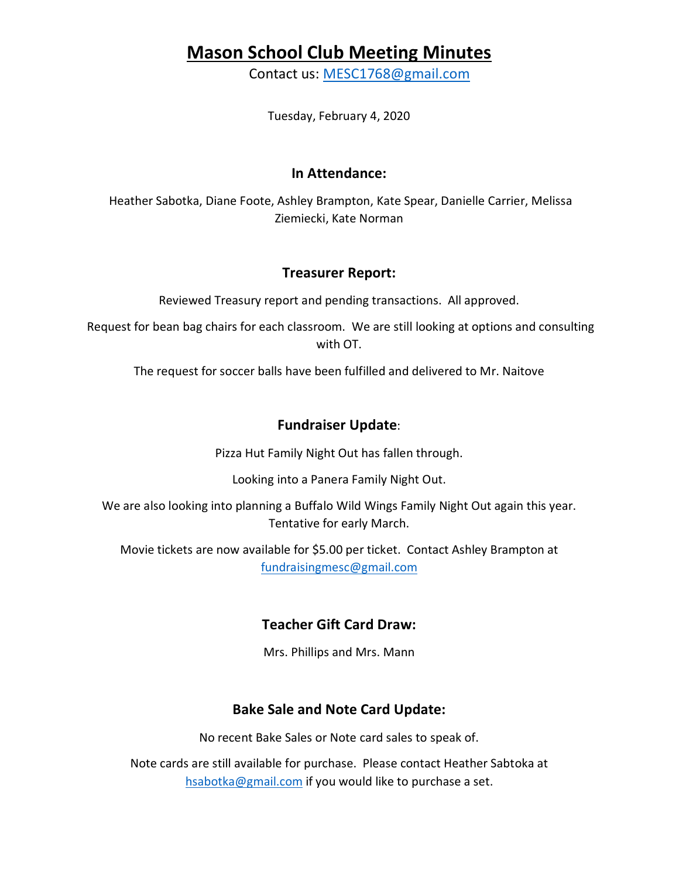## **Mason School Club Meeting Minutes**

Contact us: MESC1768@gmail.com

Tuesday, February 4, 2020

#### **In Attendance:**

Heather Sabotka, Diane Foote, Ashley Brampton, Kate Spear, Danielle Carrier, Melissa Ziemiecki, Kate Norman

#### **Treasurer Report:**

Reviewed Treasury report and pending transactions. All approved.

Request for bean bag chairs for each classroom. We are still looking at options and consulting with OT.

The request for soccer balls have been fulfilled and delivered to Mr. Naitove

### **Fundraiser Update**:

Pizza Hut Family Night Out has fallen through.

Looking into a Panera Family Night Out.

We are also looking into planning a Buffalo Wild Wings Family Night Out again this year. Tentative for early March.

Movie tickets are now available for \$5.00 per ticket. Contact Ashley Brampton at fundraisingmesc@gmail.com

## **Teacher Gift Card Draw:**

Mrs. Phillips and Mrs. Mann

## **Bake Sale and Note Card Update:**

No recent Bake Sales or Note card sales to speak of.

Note cards are still available for purchase. Please contact Heather Sabtoka at hsabotka@gmail.com if you would like to purchase a set.